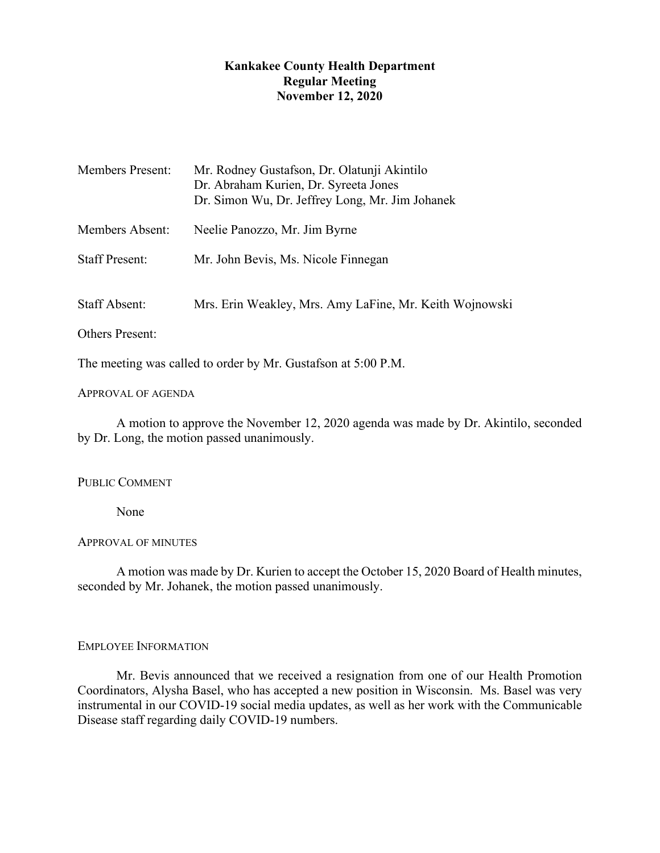# **Kankakee County Health Department Regular Meeting November 12, 2020**

| <b>Members Present:</b> | Mr. Rodney Gustafson, Dr. Olatunji Akintilo<br>Dr. Abraham Kurien, Dr. Syreeta Jones<br>Dr. Simon Wu, Dr. Jeffrey Long, Mr. Jim Johanek |
|-------------------------|-----------------------------------------------------------------------------------------------------------------------------------------|
| Members Absent:         | Neelie Panozzo, Mr. Jim Byrne                                                                                                           |
| <b>Staff Present:</b>   | Mr. John Bevis, Ms. Nicole Finnegan                                                                                                     |
| <b>Staff Absent:</b>    | Mrs. Erin Weakley, Mrs. Amy LaFine, Mr. Keith Wojnowski                                                                                 |
| <b>Others Present:</b>  |                                                                                                                                         |

The meeting was called to order by Mr. Gustafson at 5:00 P.M.

## APPROVAL OF AGENDA

A motion to approve the November 12, 2020 agenda was made by Dr. Akintilo, seconded by Dr. Long, the motion passed unanimously.

### PUBLIC COMMENT

None

### APPROVAL OF MINUTES

A motion was made by Dr. Kurien to accept the October 15, 2020 Board of Health minutes, seconded by Mr. Johanek, the motion passed unanimously.

### EMPLOYEE INFORMATION

Mr. Bevis announced that we received a resignation from one of our Health Promotion Coordinators, Alysha Basel, who has accepted a new position in Wisconsin. Ms. Basel was very instrumental in our COVID-19 social media updates, as well as her work with the Communicable Disease staff regarding daily COVID-19 numbers.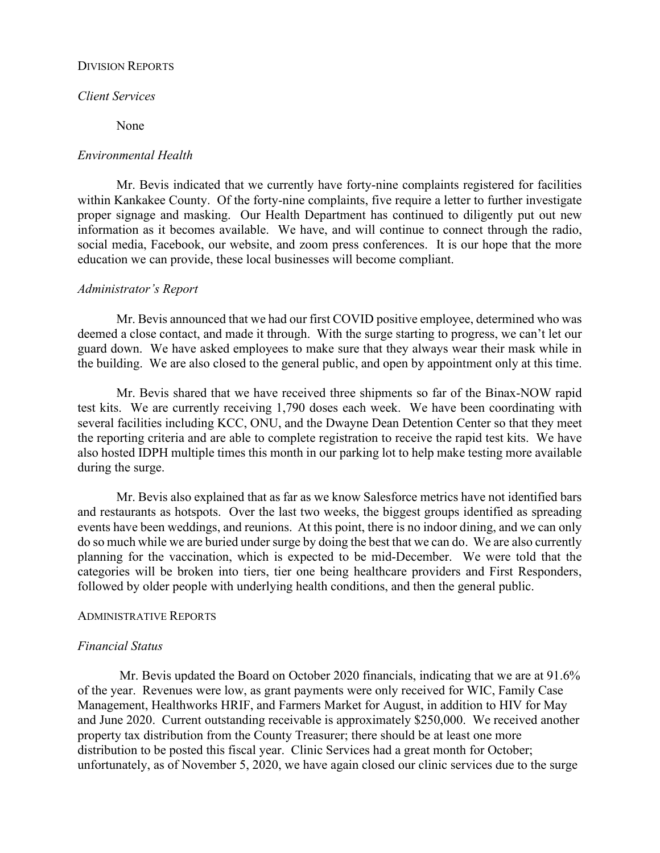### DIVISION REPORTS

# *Client Services*

None

#### *Environmental Health*

Mr. Bevis indicated that we currently have forty-nine complaints registered for facilities within Kankakee County. Of the forty-nine complaints, five require a letter to further investigate proper signage and masking. Our Health Department has continued to diligently put out new information as it becomes available. We have, and will continue to connect through the radio, social media, Facebook, our website, and zoom press conferences. It is our hope that the more education we can provide, these local businesses will become compliant.

#### *Administrator's Report*

Mr. Bevis announced that we had our first COVID positive employee, determined who was deemed a close contact, and made it through. With the surge starting to progress, we can't let our guard down. We have asked employees to make sure that they always wear their mask while in the building. We are also closed to the general public, and open by appointment only at this time.

Mr. Bevis shared that we have received three shipments so far of the Binax-NOW rapid test kits. We are currently receiving 1,790 doses each week. We have been coordinating with several facilities including KCC, ONU, and the Dwayne Dean Detention Center so that they meet the reporting criteria and are able to complete registration to receive the rapid test kits. We have also hosted IDPH multiple times this month in our parking lot to help make testing more available during the surge.

Mr. Bevis also explained that as far as we know Salesforce metrics have not identified bars and restaurants as hotspots. Over the last two weeks, the biggest groups identified as spreading events have been weddings, and reunions. At this point, there is no indoor dining, and we can only do so much while we are buried under surge by doing the best that we can do. We are also currently planning for the vaccination, which is expected to be mid-December. We were told that the categories will be broken into tiers, tier one being healthcare providers and First Responders, followed by older people with underlying health conditions, and then the general public.

#### ADMINISTRATIVE REPORTS

#### *Financial Status*

Mr. Bevis updated the Board on October 2020 financials, indicating that we are at 91.6% of the year. Revenues were low, as grant payments were only received for WIC, Family Case Management, Healthworks HRIF, and Farmers Market for August, in addition to HIV for May and June 2020. Current outstanding receivable is approximately \$250,000. We received another property tax distribution from the County Treasurer; there should be at least one more distribution to be posted this fiscal year. Clinic Services had a great month for October; unfortunately, as of November 5, 2020, we have again closed our clinic services due to the surge